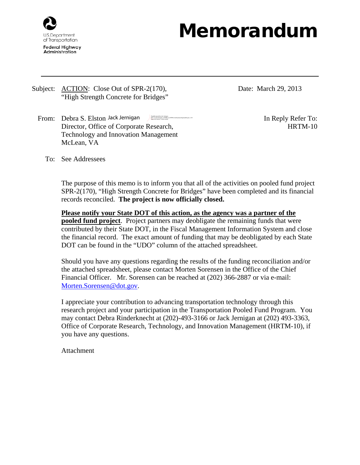

## Memorandum

- Subject: <u>ACTION</u>: Close Out of SPR-2(170), "High Strength Concrete for Bridges"
	- From: Debra S. Elston Jack Jernigan Digitally signed by Jack Jernice Control of Digital Digital Digital Digital Digital Digital Digital Digital Digital Digital Digital Digital Digital Digital Digital Digital Digital Digita Director, Office of Corporate Research, Technology and Innovation Management McLean, VA DN: cn=Jack Jernigan, o=FHWA, ou=HRTM, email=jack.jernigan@dot.gov, c=US<br>Date: 2013.04.02 11:45:20 -04'00'

Date: March 29, 2013

HRTM-10

To: See Addressees

The purpose of this memo is to inform you that all of the activities on pooled fund project SPR-2(170), "High Strength Concrete for Bridges" have been completed and its financial records reconciled. **The project is now officially closed.**

**Please notify your State DOT of this action, as the agency was a partner of the pooled fund project**. Project partners may deobligate the remaining funds that were contributed by their State DOT, in the Fiscal Management Information System and close the financial record. The exact amount of funding that may be deobligated by each State DOT can be found in the "UDO" column of the attached spreadsheet.

Should you have any questions regarding the results of the funding reconciliation and/or the attached spreadsheet, please contact Morten Sorensen in the Office of the Chief Financial Officer. Mr. Sorensen can be reached at (202) 366-2887 or via e-mail: [Morten.Sorensen@dot.gov.](mailto:Morten.Sorensen@dot.gov)

I appreciate your contribution to advancing transportation technology through this research project and your participation in the Transportation Pooled Fund Program. You may contact Debra Rinderknecht at (202)-493-3166 or Jack Jernigan at (202) 493-3363, Office of Corporate Research, Technology, and Innovation Management (HRTM-10), if you have any questions.

Attachment